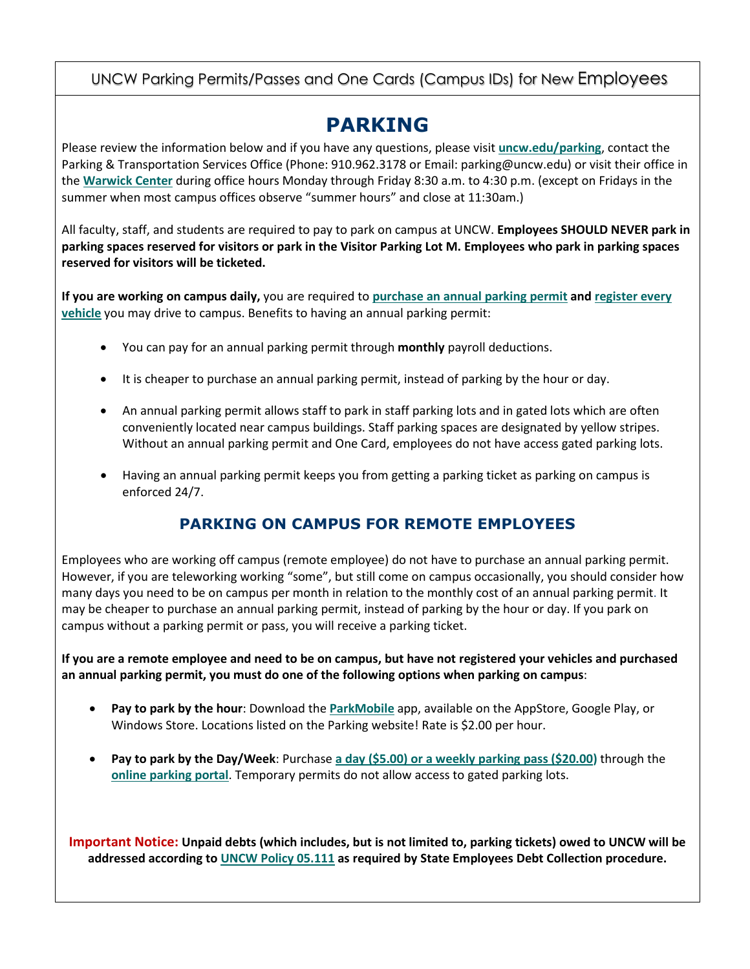#### UNCW Parking Permits/Passes and One Cards (Campus IDs) for New Employees

## **PARKING**

Please review the information below and if you have any questions, please visit **[uncw.edu/parking](https://uncw.edu/parking/about.html)**, contact the Parking & Transportation Services Office (Phone: 910.962.3178 or Email: parking@uncw.edu) or visit their office in the **[Warwick Center](https://goo.gl/maps/9XzPvPk5wRcCYNHcA)** during office hours Monday through Friday 8:30 a.m. to 4:30 p.m. (except on Fridays in the summer when most campus offices observe "summer hours" and close at 11:30am.)

All faculty, staff, and students are required to pay to park on campus at UNCW. **Employees SHOULD NEVER park in parking spaces reserved for visitors or park in the Visitor Parking Lot M. Employees who park in parking spaces reserved for visitors will be ticketed.** 

**If you are working on campus daily,** you are required to **[purchase an annual parking permit](https://uncw.edu/parking/permitregistration.html#facstaff) an[d register every](https://uncw.edu/parking/permitregistration.html)  [vehicle](https://uncw.edu/parking/permitregistration.html)** you may drive to campus. Benefits to having an annual parking permit:

- You can pay for an annual parking permit through **monthly** payroll deductions.
- It is cheaper to purchase an annual parking permit, instead of parking by the hour or day.
- An annual parking permit allows staff to park in staff parking lots and in gated lots which are often conveniently located near campus buildings. Staff parking spaces are designated by yellow stripes. Without an annual parking permit and One Card, employees do not have access gated parking lots.
- Having an annual parking permit keeps you from getting a parking ticket as parking on campus is enforced 24/7.

#### **PARKING ON CAMPUS FOR REMOTE EMPLOYEES**

Employees who are working off campus (remote employee) do not have to purchase an annual parking permit. However, if you are teleworking working "some", but still come on campus occasionally, you should consider how many days you need to be on campus per month in relation to the monthly cost of an annual parking permit. It may be cheaper to purchase an annual parking permit, instead of parking by the hour or day. If you park on campus without a parking permit or pass, you will receive a parking ticket.

**If you are a remote employee and need to be on campus, but have not registered your vehicles and purchased an annual parking permit, you must do one of the following options when parking on campus**:

- **Pay to park by the hour**: Download the **[ParkMobile](https://uncw.edu/parking/visitorparking.html#parkmobile)** app, available on the AppStore, Google Play, or Windows Store. Locations listed on the Parking website! Rate is \$2.00 per hour.
- **Pay to park by the Day/Week**: Purchase **[a day \(\\$5.00\) or a weekly parking pass \(\\$20.00\)](https://uncw.edu/parking/visitorparking.html#visitorpasses)** through the **[online parking portal](https://uncw.t2hosted.com/cmn/auth_ext.aspx)**. Temporary permits do not allow access to gated parking lots.

**Important Notice: Unpaid debts (which includes, but is not limited to, parking tickets) owed to UNCW will be addressed according to [UNCW Policy 05.111](https://uncw.edu/sp/admproc/05_111_state_empl_debt.htm) as required by State Employees Debt Collection procedure.**